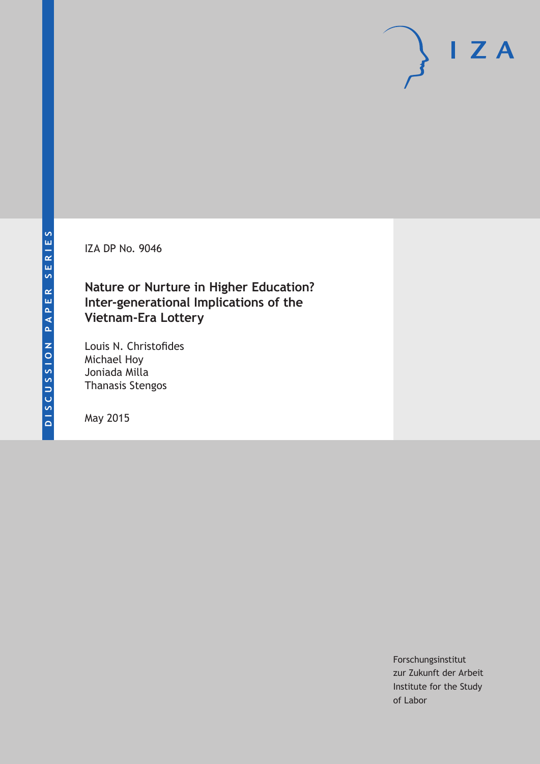IZA DP No. 9046

## **Nature or Nurture in Higher Education? Inter-generational Implications of the Vietnam-Era Lottery**

Louis N. Christofides Michael Hoy Joniada Milla Thanasis Stengos

May 2015

Forschungsinstitut zur Zukunft der Arbeit Institute for the Study of Labor

 $I Z A$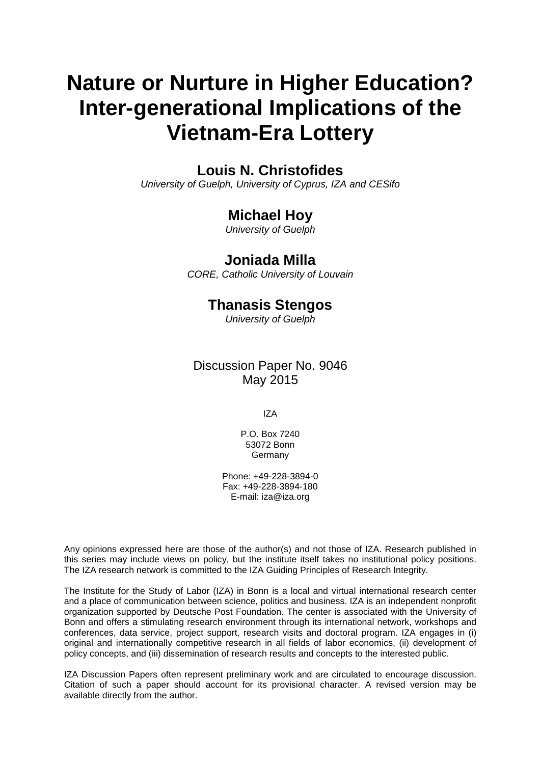# **Nature or Nurture in Higher Education? Inter-generational Implications of the Vietnam-Era Lottery**

#### **Louis N. Christofides**

*University of Guelph, University of Cyprus, IZA and CESifo*

#### **Michael Hoy**

*University of Guelph*

#### **Joniada Milla**

*CORE, Catholic University of Louvain*

#### **Thanasis Stengos**

*University of Guelph*

Discussion Paper No. 9046 May 2015

IZA

P.O. Box 7240 53072 Bonn Germany

Phone: +49-228-3894-0 Fax: +49-228-3894-180 E-mail: iza@iza.org

Any opinions expressed here are those of the author(s) and not those of IZA. Research published in this series may include views on policy, but the institute itself takes no institutional policy positions. The IZA research network is committed to the IZA Guiding Principles of Research Integrity.

The Institute for the Study of Labor (IZA) in Bonn is a local and virtual international research center and a place of communication between science, politics and business. IZA is an independent nonprofit organization supported by Deutsche Post Foundation. The center is associated with the University of Bonn and offers a stimulating research environment through its international network, workshops and conferences, data service, project support, research visits and doctoral program. IZA engages in (i) original and internationally competitive research in all fields of labor economics, (ii) development of policy concepts, and (iii) dissemination of research results and concepts to the interested public.

IZA Discussion Papers often represent preliminary work and are circulated to encourage discussion. Citation of such a paper should account for its provisional character. A revised version may be available directly from the author.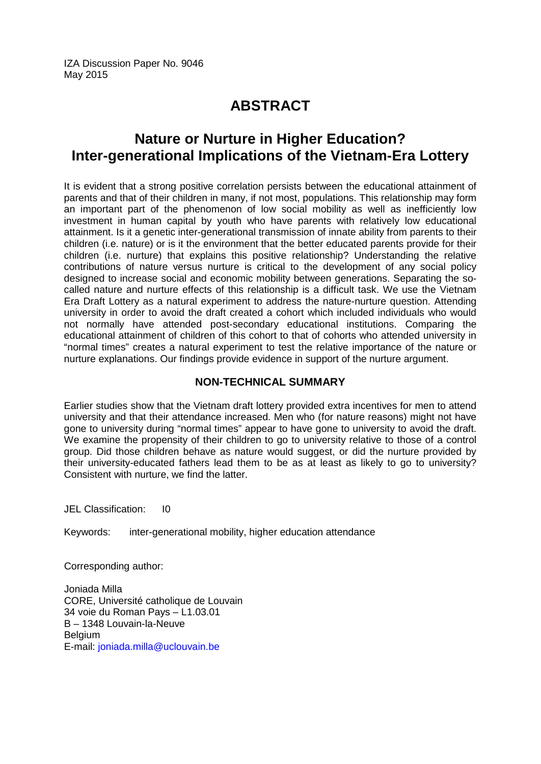IZA Discussion Paper No. 9046 May 2015

# **ABSTRACT**

### **Nature or Nurture in Higher Education? Inter-generational Implications of the Vietnam-Era Lottery**

It is evident that a strong positive correlation persists between the educational attainment of parents and that of their children in many, if not most, populations. This relationship may form an important part of the phenomenon of low social mobility as well as inefficiently low investment in human capital by youth who have parents with relatively low educational attainment. Is it a genetic inter-generational transmission of innate ability from parents to their children (i.e. nature) or is it the environment that the better educated parents provide for their children (i.e. nurture) that explains this positive relationship? Understanding the relative contributions of nature versus nurture is critical to the development of any social policy designed to increase social and economic mobility between generations. Separating the socalled nature and nurture effects of this relationship is a difficult task. We use the Vietnam Era Draft Lottery as a natural experiment to address the nature-nurture question. Attending university in order to avoid the draft created a cohort which included individuals who would not normally have attended post-secondary educational institutions. Comparing the educational attainment of children of this cohort to that of cohorts who attended university in "normal times" creates a natural experiment to test the relative importance of the nature or nurture explanations. Our findings provide evidence in support of the nurture argument.

#### **NON-TECHNICAL SUMMARY**

Earlier studies show that the Vietnam draft lottery provided extra incentives for men to attend university and that their attendance increased. Men who (for nature reasons) might not have gone to university during "normal times" appear to have gone to university to avoid the draft. We examine the propensity of their children to go to university relative to those of a control group. Did those children behave as nature would suggest, or did the nurture provided by their university-educated fathers lead them to be as at least as likely to go to university? Consistent with nurture, we find the latter.

JEL Classification: I0

Keywords: inter-generational mobility, higher education attendance

Corresponding author:

Joniada Milla CORE, Université catholique de Louvain 34 voie du Roman Pays – L1.03.01 B – 1348 Louvain-la-Neuve Belgium E-mail: [joniada.milla@uclouvain.be](mailto:joniada.milla@uclouvain.be)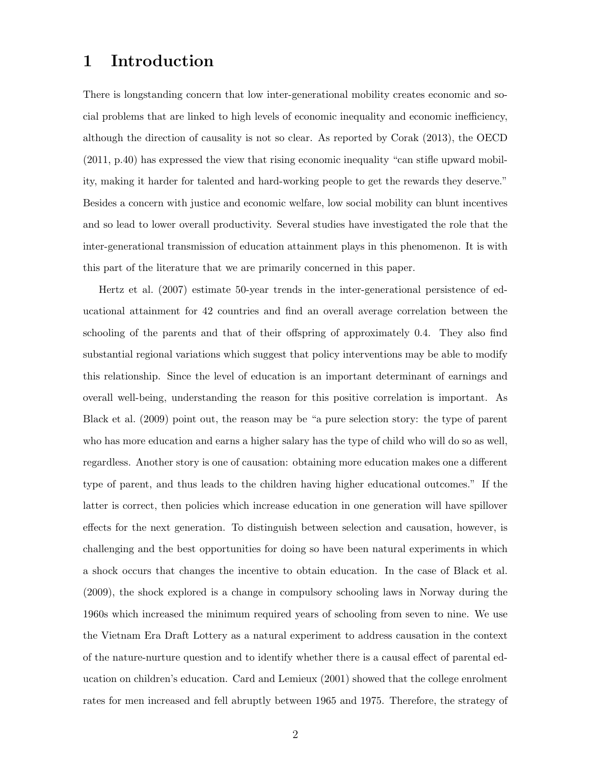#### 1 Introduction

There is longstanding concern that low inter-generational mobility creates economic and social problems that are linked to high levels of economic inequality and economic inefficiency, although the direction of causality is not so clear. As reported by [Corak](#page-23-0) [\(2013\)](#page-23-0), the [OECD](#page-24-0) [\(2011,](#page-24-0) p.40) has expressed the view that rising economic inequality "can stifle upward mobility, making it harder for talented and hard-working people to get the rewards they deserve." Besides a concern with justice and economic welfare, low social mobility can blunt incentives and so lead to lower overall productivity. Several studies have investigated the role that the inter-generational transmission of education attainment plays in this phenomenon. It is with this part of the literature that we are primarily concerned in this paper.

[Hertz et al.](#page-23-1) [\(2007\)](#page-23-1) estimate 50-year trends in the inter-generational persistence of educational attainment for 42 countries and find an overall average correlation between the schooling of the parents and that of their offspring of approximately 0.4. They also find substantial regional variations which suggest that policy interventions may be able to modify this relationship. Since the level of education is an important determinant of earnings and overall well-being, understanding the reason for this positive correlation is important. As [Black et al.](#page-23-2) [\(2009\)](#page-23-2) point out, the reason may be "a pure selection story: the type of parent who has more education and earns a higher salary has the type of child who will do so as well, regardless. Another story is one of causation: obtaining more education makes one a different type of parent, and thus leads to the children having higher educational outcomes." If the latter is correct, then policies which increase education in one generation will have spillover effects for the next generation. To distinguish between selection and causation, however, is challenging and the best opportunities for doing so have been natural experiments in which a shock occurs that changes the incentive to obtain education. In the case of [Black et al.](#page-23-2) [\(2009\)](#page-23-2), the shock explored is a change in compulsory schooling laws in Norway during the 1960s which increased the minimum required years of schooling from seven to nine. We use the Vietnam Era Draft Lottery as a natural experiment to address causation in the context of the nature-nurture question and to identify whether there is a causal effect of parental education on children's education. [Card and Lemieux](#page-23-3) [\(2001\)](#page-23-3) showed that the college enrolment rates for men increased and fell abruptly between 1965 and 1975. Therefore, the strategy of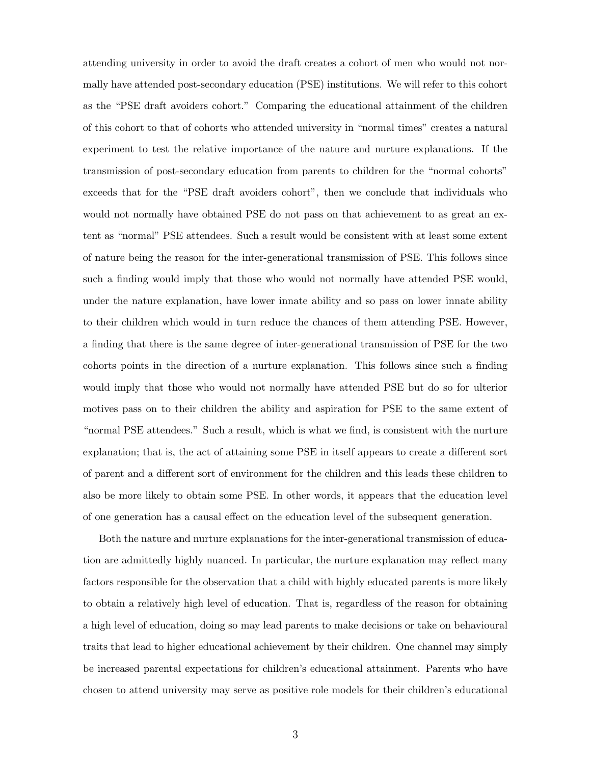attending university in order to avoid the draft creates a cohort of men who would not normally have attended post-secondary education (PSE) institutions. We will refer to this cohort as the "PSE draft avoiders cohort." Comparing the educational attainment of the children of this cohort to that of cohorts who attended university in "normal times" creates a natural experiment to test the relative importance of the nature and nurture explanations. If the transmission of post-secondary education from parents to children for the "normal cohorts" exceeds that for the "PSE draft avoiders cohort", then we conclude that individuals who would not normally have obtained PSE do not pass on that achievement to as great an extent as "normal" PSE attendees. Such a result would be consistent with at least some extent of nature being the reason for the inter-generational transmission of PSE. This follows since such a finding would imply that those who would not normally have attended PSE would, under the nature explanation, have lower innate ability and so pass on lower innate ability to their children which would in turn reduce the chances of them attending PSE. However, a finding that there is the same degree of inter-generational transmission of PSE for the two cohorts points in the direction of a nurture explanation. This follows since such a finding would imply that those who would not normally have attended PSE but do so for ulterior motives pass on to their children the ability and aspiration for PSE to the same extent of "normal PSE attendees." Such a result, which is what we find, is consistent with the nurture explanation; that is, the act of attaining some PSE in itself appears to create a different sort of parent and a different sort of environment for the children and this leads these children to also be more likely to obtain some PSE. In other words, it appears that the education level of one generation has a causal effect on the education level of the subsequent generation.

Both the nature and nurture explanations for the inter-generational transmission of education are admittedly highly nuanced. In particular, the nurture explanation may reflect many factors responsible for the observation that a child with highly educated parents is more likely to obtain a relatively high level of education. That is, regardless of the reason for obtaining a high level of education, doing so may lead parents to make decisions or take on behavioural traits that lead to higher educational achievement by their children. One channel may simply be increased parental expectations for children's educational attainment. Parents who have chosen to attend university may serve as positive role models for their children's educational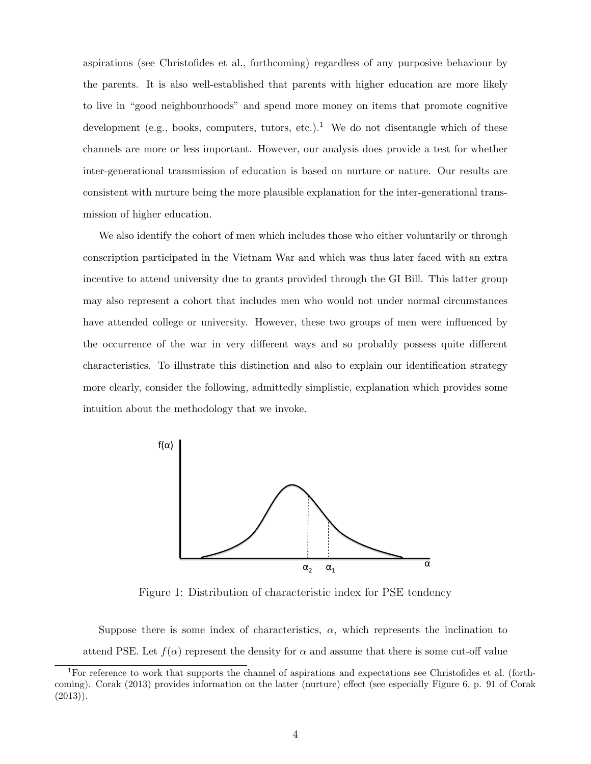aspirations (see [Christofides et al., forthcoming\)](#page-23-4) regardless of any purposive behaviour by the parents. It is also well-established that parents with higher education are more likely to live in "good neighbourhoods" and spend more money on items that promote cognitive development (e.g., books, computers, tutors, etc.).<sup>[1](#page-5-0)</sup> We do not disentangle which of these channels are more or less important. However, our analysis does provide a test for whether inter-generational transmission of education is based on nurture or nature. Our results are consistent with nurture being the more plausible explanation for the inter-generational transmission of higher education.

We also identify the cohort of men which includes those who either voluntarily or through conscription participated in the Vietnam War and which was thus later faced with an extra incentive to attend university due to grants provided through the GI Bill. This latter group may also represent a cohort that includes men who would not under normal circumstances have attended college or university. However, these two groups of men were influenced by the occurrence of the war in very different ways and so probably possess quite different characteristics. To illustrate this distinction and also to explain our identification strategy more clearly, consider the following, admittedly simplistic, explanation which provides some intuition about the methodology that we invoke.

<span id="page-5-1"></span>

Figure 1: Distribution of characteristic index for PSE tendency

Suppose there is some index of characteristics,  $\alpha$ , which represents the inclination to attend PSE. Let  $f(\alpha)$  represent the density for  $\alpha$  and assume that there is some cut-off value

<span id="page-5-0"></span><sup>&</sup>lt;sup>1</sup>For reference to work that supports the channel of aspirations and expectations see [Christofides et al.](#page-23-4) [\(forth](#page-23-4)[coming\)](#page-23-4). [Corak](#page-23-0) [\(2013\)](#page-23-0) provides information on the latter (nurture) effect (see especially Figure 6, p. 91 of [Corak](#page-23-0)  $(2013)$ .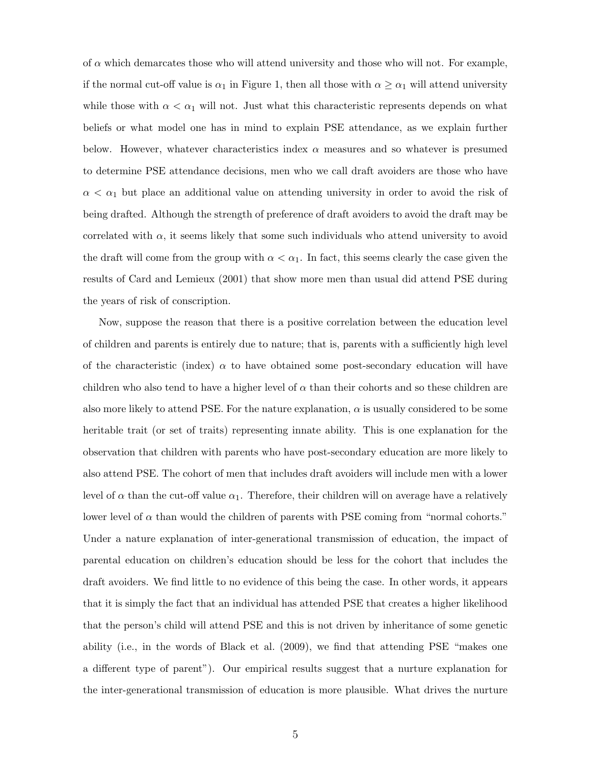of  $\alpha$  which demarcates those who will attend university and those who will not. For example, if the normal cut-off value is  $\alpha_1$  in Figure [1,](#page-5-1) then all those with  $\alpha \geq \alpha_1$  will attend university while those with  $\alpha < \alpha_1$  will not. Just what this characteristic represents depends on what beliefs or what model one has in mind to explain PSE attendance, as we explain further below. However, whatever characteristics index  $\alpha$  measures and so whatever is presumed to determine PSE attendance decisions, men who we call draft avoiders are those who have  $\alpha < \alpha_1$  but place an additional value on attending university in order to avoid the risk of being drafted. Although the strength of preference of draft avoiders to avoid the draft may be correlated with  $\alpha$ , it seems likely that some such individuals who attend university to avoid the draft will come from the group with  $\alpha < \alpha_1$ . In fact, this seems clearly the case given the results of [Card and Lemieux](#page-23-3) [\(2001\)](#page-23-3) that show more men than usual did attend PSE during the years of risk of conscription.

Now, suppose the reason that there is a positive correlation between the education level of children and parents is entirely due to nature; that is, parents with a sufficiently high level of the characteristic (index)  $\alpha$  to have obtained some post-secondary education will have children who also tend to have a higher level of  $\alpha$  than their cohorts and so these children are also more likely to attend PSE. For the nature explanation,  $\alpha$  is usually considered to be some heritable trait (or set of traits) representing innate ability. This is one explanation for the observation that children with parents who have post-secondary education are more likely to also attend PSE. The cohort of men that includes draft avoiders will include men with a lower level of  $\alpha$  than the cut-off value  $\alpha_1$ . Therefore, their children will on average have a relatively lower level of  $\alpha$  than would the children of parents with PSE coming from "normal cohorts." Under a nature explanation of inter-generational transmission of education, the impact of parental education on children's education should be less for the cohort that includes the draft avoiders. We find little to no evidence of this being the case. In other words, it appears that it is simply the fact that an individual has attended PSE that creates a higher likelihood that the person's child will attend PSE and this is not driven by inheritance of some genetic ability (i.e., in the words of [Black et al.](#page-23-2) [\(2009\)](#page-23-2), we find that attending PSE "makes one a different type of parent"). Our empirical results suggest that a nurture explanation for the inter-generational transmission of education is more plausible. What drives the nurture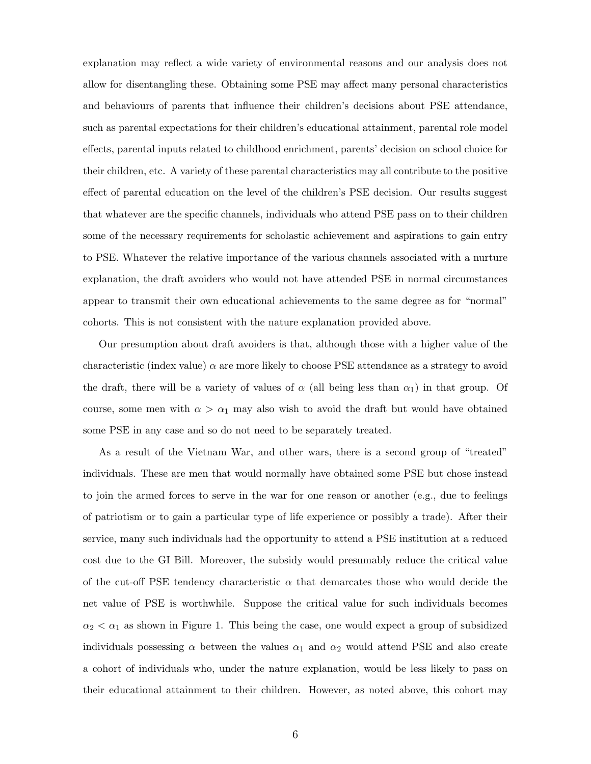explanation may reflect a wide variety of environmental reasons and our analysis does not allow for disentangling these. Obtaining some PSE may affect many personal characteristics and behaviours of parents that influence their children's decisions about PSE attendance, such as parental expectations for their children's educational attainment, parental role model effects, parental inputs related to childhood enrichment, parents' decision on school choice for their children, etc. A variety of these parental characteristics may all contribute to the positive effect of parental education on the level of the children's PSE decision. Our results suggest that whatever are the specific channels, individuals who attend PSE pass on to their children some of the necessary requirements for scholastic achievement and aspirations to gain entry to PSE. Whatever the relative importance of the various channels associated with a nurture explanation, the draft avoiders who would not have attended PSE in normal circumstances appear to transmit their own educational achievements to the same degree as for "normal" cohorts. This is not consistent with the nature explanation provided above.

Our presumption about draft avoiders is that, although those with a higher value of the characteristic (index value)  $\alpha$  are more likely to choose PSE attendance as a strategy to avoid the draft, there will be a variety of values of  $\alpha$  (all being less than  $\alpha_1$ ) in that group. Of course, some men with  $\alpha > \alpha_1$  may also wish to avoid the draft but would have obtained some PSE in any case and so do not need to be separately treated.

As a result of the Vietnam War, and other wars, there is a second group of "treated" individuals. These are men that would normally have obtained some PSE but chose instead to join the armed forces to serve in the war for one reason or another (e.g., due to feelings of patriotism or to gain a particular type of life experience or possibly a trade). After their service, many such individuals had the opportunity to attend a PSE institution at a reduced cost due to the GI Bill. Moreover, the subsidy would presumably reduce the critical value of the cut-off PSE tendency characteristic  $\alpha$  that demarcates those who would decide the net value of PSE is worthwhile. Suppose the critical value for such individuals becomes  $\alpha_2 < \alpha_1$  as shown in Figure [1.](#page-5-1) This being the case, one would expect a group of subsidized individuals possessing  $\alpha$  between the values  $\alpha_1$  and  $\alpha_2$  would attend PSE and also create a cohort of individuals who, under the nature explanation, would be less likely to pass on their educational attainment to their children. However, as noted above, this cohort may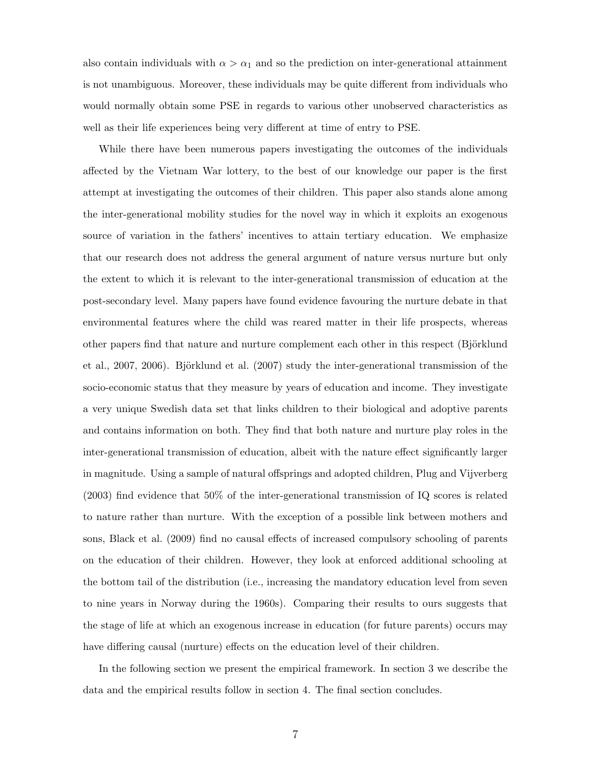also contain individuals with  $\alpha > \alpha_1$  and so the prediction on inter-generational attainment is not unambiguous. Moreover, these individuals may be quite different from individuals who would normally obtain some PSE in regards to various other unobserved characteristics as well as their life experiences being very different at time of entry to PSE.

While there have been numerous papers investigating the outcomes of the individuals affected by the Vietnam War lottery, to the best of our knowledge our paper is the first attempt at investigating the outcomes of their children. This paper also stands alone among the inter-generational mobility studies for the novel way in which it exploits an exogenous source of variation in the fathers' incentives to attain tertiary education. We emphasize that our research does not address the general argument of nature versus nurture but only the extent to which it is relevant to the inter-generational transmission of education at the post-secondary level. Many papers have found evidence favouring the nurture debate in that environmental features where the child was reared matter in their life prospects, whereas other papers find that nature and nurture complement each other in this respect (Björklund [et al., 2007,](#page-23-5) [2006\)](#page-23-6). Björklund et al.  $(2007)$  study the inter-generational transmission of the socio-economic status that they measure by years of education and income. They investigate a very unique Swedish data set that links children to their biological and adoptive parents and contains information on both. They find that both nature and nurture play roles in the inter-generational transmission of education, albeit with the nature effect significantly larger in magnitude. Using a sample of natural offsprings and adopted children, [Plug and Vijverberg](#page-24-1) [\(2003\)](#page-24-1) find evidence that 50% of the inter-generational transmission of IQ scores is related to nature rather than nurture. With the exception of a possible link between mothers and sons, [Black et al.](#page-23-2) [\(2009\)](#page-23-2) find no causal effects of increased compulsory schooling of parents on the education of their children. However, they look at enforced additional schooling at the bottom tail of the distribution (i.e., increasing the mandatory education level from seven to nine years in Norway during the 1960s). Comparing their results to ours suggests that the stage of life at which an exogenous increase in education (for future parents) occurs may have differing causal (nurture) effects on the education level of their children.

In the following section we present the empirical framework. In section 3 we describe the data and the empirical results follow in section 4. The final section concludes.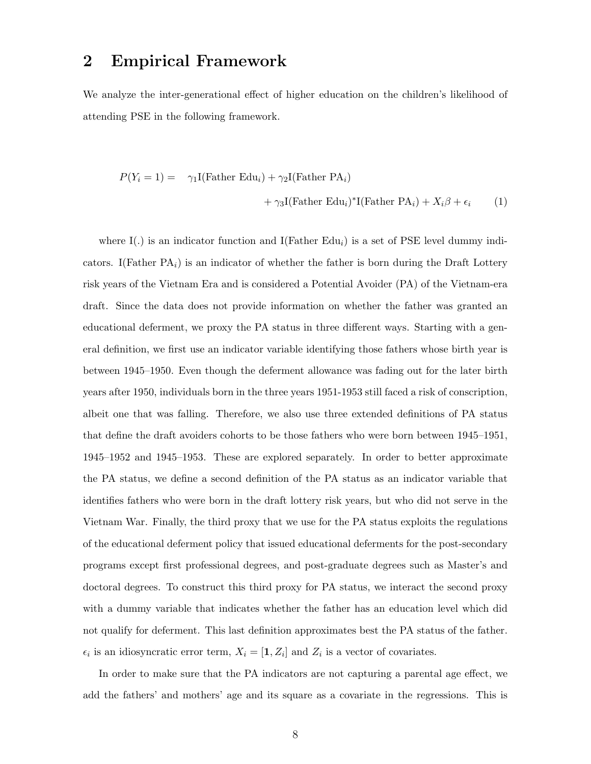#### 2 Empirical Framework

We analyze the inter-generational effect of higher education on the children's likelihood of attending PSE in the following framework.

<span id="page-9-0"></span>
$$
P(Y_i = 1) = \gamma_1 I(\text{Father Edu}_i) + \gamma_2 I(\text{Father PA}_i)
$$

$$
+ \gamma_3 I(\text{Father Edu}_i)^* I(\text{Father PA}_i) + X_i \beta + \epsilon_i \qquad (1)
$$

where I(.) is an indicator function and I(Father Edu<sub>i</sub>) is a set of PSE level dummy indicators. I(Father  $PA_i$ ) is an indicator of whether the father is born during the Draft Lottery risk years of the Vietnam Era and is considered a Potential Avoider (PA) of the Vietnam-era draft. Since the data does not provide information on whether the father was granted an educational deferment, we proxy the PA status in three different ways. Starting with a general definition, we first use an indicator variable identifying those fathers whose birth year is between 1945–1950. Even though the deferment allowance was fading out for the later birth years after 1950, individuals born in the three years 1951-1953 still faced a risk of conscription, albeit one that was falling. Therefore, we also use three extended definitions of PA status that define the draft avoiders cohorts to be those fathers who were born between 1945–1951, 1945–1952 and 1945–1953. These are explored separately. In order to better approximate the PA status, we define a second definition of the PA status as an indicator variable that identifies fathers who were born in the draft lottery risk years, but who did not serve in the Vietnam War. Finally, the third proxy that we use for the PA status exploits the regulations of the educational deferment policy that issued educational deferments for the post-secondary programs except first professional degrees, and post-graduate degrees such as Master's and doctoral degrees. To construct this third proxy for PA status, we interact the second proxy with a dummy variable that indicates whether the father has an education level which did not qualify for deferment. This last definition approximates best the PA status of the father.  $\epsilon_i$  is an idiosyncratic error term,  $X_i = [1, Z_i]$  and  $Z_i$  is a vector of covariates.

In order to make sure that the PA indicators are not capturing a parental age effect, we add the fathers' and mothers' age and its square as a covariate in the regressions. This is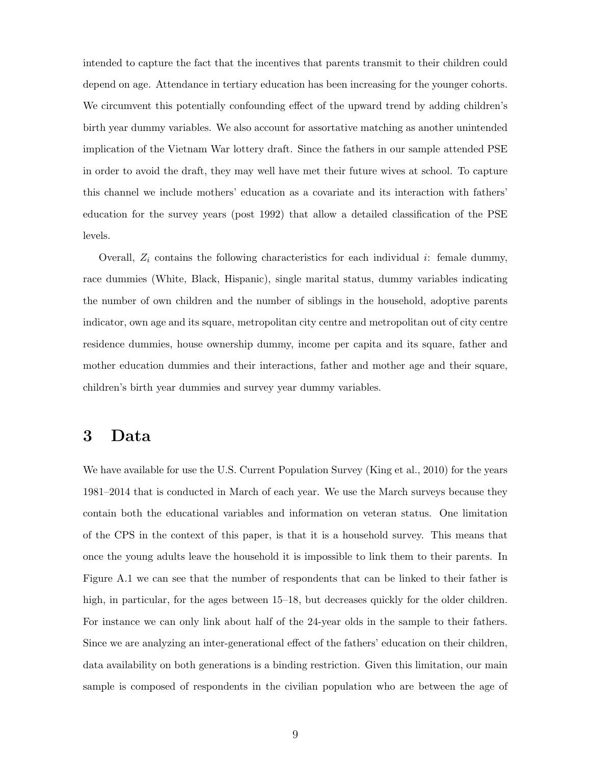intended to capture the fact that the incentives that parents transmit to their children could depend on age. Attendance in tertiary education has been increasing for the younger cohorts. We circumvent this potentially confounding effect of the upward trend by adding children's birth year dummy variables. We also account for assortative matching as another unintended implication of the Vietnam War lottery draft. Since the fathers in our sample attended PSE in order to avoid the draft, they may well have met their future wives at school. To capture this channel we include mothers' education as a covariate and its interaction with fathers' education for the survey years (post 1992) that allow a detailed classification of the PSE levels.

Overall,  $Z_i$  contains the following characteristics for each individual *i*: female dummy, race dummies (White, Black, Hispanic), single marital status, dummy variables indicating the number of own children and the number of siblings in the household, adoptive parents indicator, own age and its square, metropolitan city centre and metropolitan out of city centre residence dummies, house ownership dummy, income per capita and its square, father and mother education dummies and their interactions, father and mother age and their square, children's birth year dummies and survey year dummy variables.

#### 3 Data

We have available for use the U.S. Current Population Survey [\(King et al., 2010\)](#page-24-2) for the years 1981–2014 that is conducted in March of each year. We use the March surveys because they contain both the educational variables and information on veteran status. One limitation of the CPS in the context of this paper, is that it is a household survey. This means that once the young adults leave the household it is impossible to link them to their parents. In Figure [A.1](#page-25-0) we can see that the number of respondents that can be linked to their father is high, in particular, for the ages between 15–18, but decreases quickly for the older children. For instance we can only link about half of the 24-year olds in the sample to their fathers. Since we are analyzing an inter-generational effect of the fathers' education on their children, data availability on both generations is a binding restriction. Given this limitation, our main sample is composed of respondents in the civilian population who are between the age of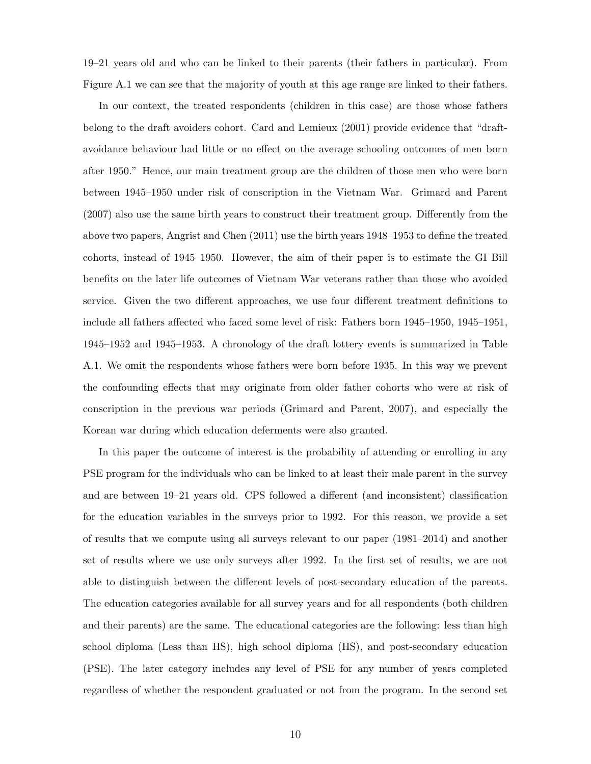19–21 years old and who can be linked to their parents (their fathers in particular). From Figure [A.1](#page-25-0) we can see that the majority of youth at this age range are linked to their fathers.

In our context, the treated respondents (children in this case) are those whose fathers belong to the draft avoiders cohort. [Card and Lemieux](#page-23-3) [\(2001\)](#page-23-3) provide evidence that "draftavoidance behaviour had little or no effect on the average schooling outcomes of men born after 1950." Hence, our main treatment group are the children of those men who were born between 1945–1950 under risk of conscription in the Vietnam War. [Grimard and Parent](#page-23-7) [\(2007\)](#page-23-7) also use the same birth years to construct their treatment group. Differently from the above two papers, [Angrist and Chen](#page-23-8) [\(2011\)](#page-23-8) use the birth years 1948–1953 to define the treated cohorts, instead of 1945–1950. However, the aim of their paper is to estimate the GI Bill benefits on the later life outcomes of Vietnam War veterans rather than those who avoided service. Given the two different approaches, we use four different treatment definitions to include all fathers affected who faced some level of risk: Fathers born 1945–1950, 1945–1951, 1945–1952 and 1945–1953. A chronology of the draft lottery events is summarized in Table [A.1.](#page-24-3) We omit the respondents whose fathers were born before 1935. In this way we prevent the confounding effects that may originate from older father cohorts who were at risk of conscription in the previous war periods [\(Grimard and Parent, 2007\)](#page-23-7), and especially the Korean war during which education deferments were also granted.

In this paper the outcome of interest is the probability of attending or enrolling in any PSE program for the individuals who can be linked to at least their male parent in the survey and are between 19–21 years old. CPS followed a different (and inconsistent) classification for the education variables in the surveys prior to 1992. For this reason, we provide a set of results that we compute using all surveys relevant to our paper (1981–2014) and another set of results where we use only surveys after 1992. In the first set of results, we are not able to distinguish between the different levels of post-secondary education of the parents. The education categories available for all survey years and for all respondents (both children and their parents) are the same. The educational categories are the following: less than high school diploma (Less than HS), high school diploma (HS), and post-secondary education (PSE). The later category includes any level of PSE for any number of years completed regardless of whether the respondent graduated or not from the program. In the second set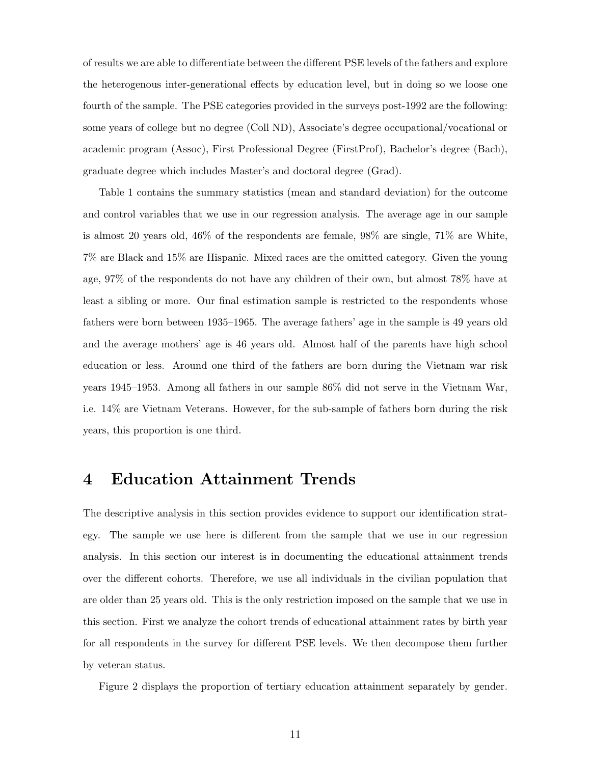of results we are able to differentiate between the different PSE levels of the fathers and explore the heterogenous inter-generational effects by education level, but in doing so we loose one fourth of the sample. The PSE categories provided in the surveys post-1992 are the following: some years of college but no degree (Coll ND), Associate's degree occupational/vocational or academic program (Assoc), First Professional Degree (FirstProf), Bachelor's degree (Bach), graduate degree which includes Master's and doctoral degree (Grad).

Table [1](#page-13-0) contains the summary statistics (mean and standard deviation) for the outcome and control variables that we use in our regression analysis. The average age in our sample is almost 20 years old, 46% of the respondents are female, 98% are single, 71% are White, 7% are Black and 15% are Hispanic. Mixed races are the omitted category. Given the young age, 97% of the respondents do not have any children of their own, but almost 78% have at least a sibling or more. Our final estimation sample is restricted to the respondents whose fathers were born between 1935–1965. The average fathers' age in the sample is 49 years old and the average mothers' age is 46 years old. Almost half of the parents have high school education or less. Around one third of the fathers are born during the Vietnam war risk years 1945–1953. Among all fathers in our sample 86% did not serve in the Vietnam War, i.e. 14% are Vietnam Veterans. However, for the sub-sample of fathers born during the risk years, this proportion is one third.

#### 4 Education Attainment Trends

The descriptive analysis in this section provides evidence to support our identification strategy. The sample we use here is different from the sample that we use in our regression analysis. In this section our interest is in documenting the educational attainment trends over the different cohorts. Therefore, we use all individuals in the civilian population that are older than 25 years old. This is the only restriction imposed on the sample that we use in this section. First we analyze the cohort trends of educational attainment rates by birth year for all respondents in the survey for different PSE levels. We then decompose them further by veteran status.

Figure [2](#page-15-0) displays the proportion of tertiary education attainment separately by gender.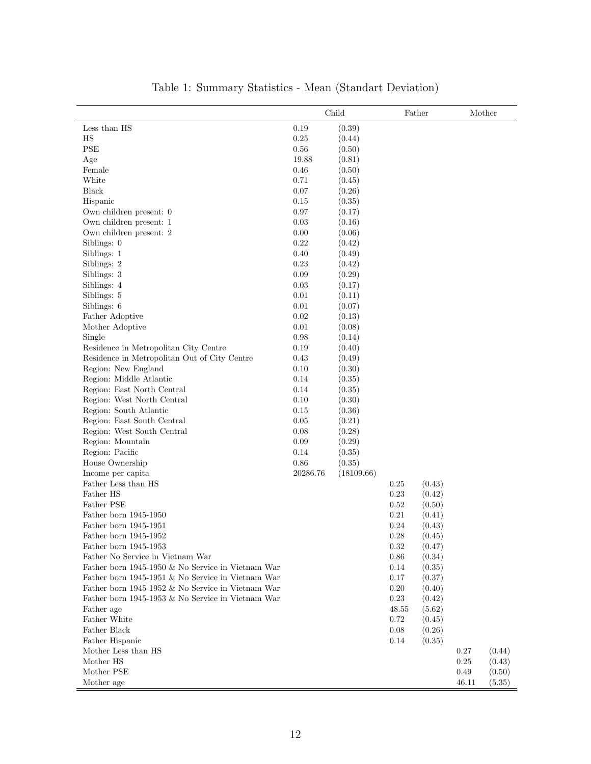<span id="page-13-0"></span>

|                                                   |          | Child      |       | Father |       | Mother |
|---------------------------------------------------|----------|------------|-------|--------|-------|--------|
| Less than HS                                      | 0.19     | (0.39)     |       |        |       |        |
| $_{\rm HS}$                                       | 0.25     | (0.44)     |       |        |       |        |
| <b>PSE</b>                                        | 0.56     | (0.50)     |       |        |       |        |
| Age                                               | 19.88    | (0.81)     |       |        |       |        |
| Female                                            | $0.46\,$ | (0.50)     |       |        |       |        |
| White                                             | 0.71     | (0.45)     |       |        |       |        |
| Black                                             | 0.07     | (0.26)     |       |        |       |        |
| Hispanic                                          | 0.15     | (0.35)     |       |        |       |        |
| Own children present: 0                           | 0.97     | (0.17)     |       |        |       |        |
| Own children present: 1                           | 0.03     | (0.16)     |       |        |       |        |
| Own children present: 2                           | 0.00     | (0.06)     |       |        |       |        |
| Siblings: 0                                       | 0.22     | (0.42)     |       |        |       |        |
| Siblings: 1                                       | 0.40     | (0.49)     |       |        |       |        |
| Siblings: 2                                       | 0.23     | (0.42)     |       |        |       |        |
| Siblings: 3                                       | 0.09     | (0.29)     |       |        |       |        |
| Siblings: 4                                       | 0.03     | (0.17)     |       |        |       |        |
| Siblings: 5                                       | 0.01     | (0.11)     |       |        |       |        |
| Siblings: 6                                       | 0.01     | (0.07)     |       |        |       |        |
| Father Adoptive                                   | 0.02     | (0.13)     |       |        |       |        |
| Mother Adoptive                                   | 0.01     | (0.08)     |       |        |       |        |
| Single                                            | 0.98     | (0.14)     |       |        |       |        |
| Residence in Metropolitan City Centre             | 0.19     | (0.40)     |       |        |       |        |
| Residence in Metropolitan Out of City Centre      | 0.43     | (0.49)     |       |        |       |        |
| Region: New England                               | 0.10     | (0.30)     |       |        |       |        |
| Region: Middle Atlantic                           | 0.14     | (0.35)     |       |        |       |        |
| Region: East North Central                        | 0.14     | (0.35)     |       |        |       |        |
| Region: West North Central                        | 0.10     | (0.30)     |       |        |       |        |
| Region: South Atlantic                            | 0.15     | (0.36)     |       |        |       |        |
| Region: East South Central                        | 0.05     | (0.21)     |       |        |       |        |
| Region: West South Central                        | 0.08     | (0.28)     |       |        |       |        |
| Region: Mountain                                  | 0.09     | (0.29)     |       |        |       |        |
| Region: Pacific                                   | 0.14     | (0.35)     |       |        |       |        |
| House Ownership                                   | $0.86\,$ | (0.35)     |       |        |       |        |
| Income per capita                                 | 20286.76 | (18109.66) |       |        |       |        |
| Father Less than HS                               |          |            | 0.25  | (0.43) |       |        |
| Father HS                                         |          |            | 0.23  | (0.42) |       |        |
| Father PSE                                        |          |            | 0.52  | (0.50) |       |        |
| Father born 1945-1950                             |          |            | 0.21  | (0.41) |       |        |
| Father born 1945-1951                             |          |            | 0.24  | (0.43) |       |        |
| Father born 1945-1952                             |          |            | 0.28  | (0.45) |       |        |
| Father born 1945-1953                             |          |            | 0.32  | (0.47) |       |        |
| Father No Service in Vietnam War                  |          |            | 0.86  | (0.34) |       |        |
| Father born 1945-1950 & No Service in Vietnam War |          |            | 0.14  | (0.35) |       |        |
| Father born 1945-1951 & No Service in Vietnam War |          |            | 0.17  | (0.37) |       |        |
| Father born 1945-1952 & No Service in Vietnam War |          |            | 0.20  | (0.40) |       |        |
| Father born 1945-1953 & No Service in Vietnam War |          |            | 0.23  | (0.42) |       |        |
| Father age                                        |          |            | 48.55 | (5.62) |       |        |
| Father White                                      |          |            | 0.72  | (0.45) |       |        |
| Father Black                                      |          |            | 0.08  | (0.26) |       |        |
| Father Hispanic                                   |          |            | 0.14  | (0.35) |       |        |
| Mother Less than HS                               |          |            |       |        | 0.27  | (0.44) |
| Mother HS                                         |          |            |       |        | 0.25  | (0.43) |
| Mother PSE                                        |          |            |       |        | 0.49  | (0.50) |
| Mother age                                        |          |            |       |        | 46.11 | (5.35) |

#### Table 1: Summary Statistics - Mean (Standart Deviation)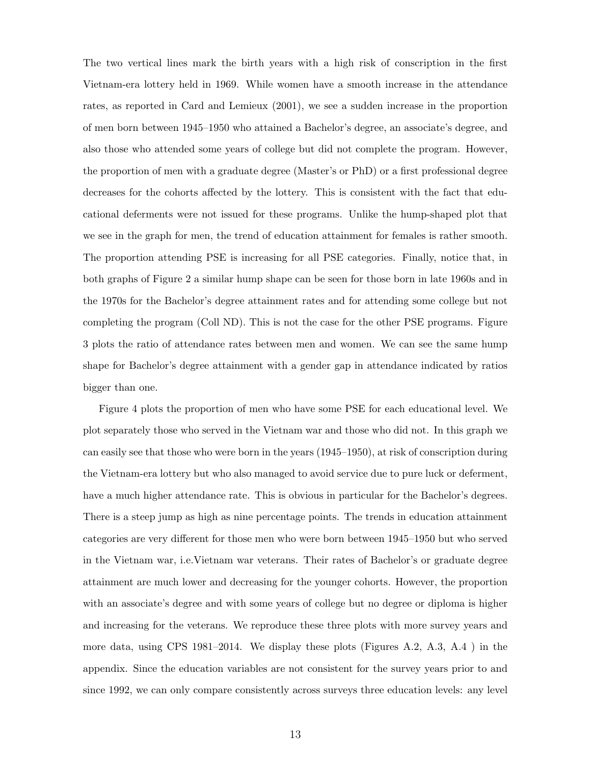The two vertical lines mark the birth years with a high risk of conscription in the first Vietnam-era lottery held in 1969. While women have a smooth increase in the attendance rates, as reported in [Card and Lemieux](#page-23-3) [\(2001\)](#page-23-3), we see a sudden increase in the proportion of men born between 1945–1950 who attained a Bachelor's degree, an associate's degree, and also those who attended some years of college but did not complete the program. However, the proportion of men with a graduate degree (Master's or PhD) or a first professional degree decreases for the cohorts affected by the lottery. This is consistent with the fact that educational deferments were not issued for these programs. Unlike the hump-shaped plot that we see in the graph for men, the trend of education attainment for females is rather smooth. The proportion attending PSE is increasing for all PSE categories. Finally, notice that, in both graphs of Figure [2](#page-15-0) a similar hump shape can be seen for those born in late 1960s and in the 1970s for the Bachelor's degree attainment rates and for attending some college but not completing the program (Coll ND). This is not the case for the other PSE programs. Figure [3](#page-15-1) plots the ratio of attendance rates between men and women. We can see the same hump shape for Bachelor's degree attainment with a gender gap in attendance indicated by ratios bigger than one.

Figure [4](#page-16-0) plots the proportion of men who have some PSE for each educational level. We plot separately those who served in the Vietnam war and those who did not. In this graph we can easily see that those who were born in the years (1945–1950), at risk of conscription during the Vietnam-era lottery but who also managed to avoid service due to pure luck or deferment, have a much higher attendance rate. This is obvious in particular for the Bachelor's degrees. There is a steep jump as high as nine percentage points. The trends in education attainment categories are very different for those men who were born between 1945–1950 but who served in the Vietnam war, i.e.Vietnam war veterans. Their rates of Bachelor's or graduate degree attainment are much lower and decreasing for the younger cohorts. However, the proportion with an associate's degree and with some years of college but no degree or diploma is higher and increasing for the veterans. We reproduce these three plots with more survey years and more data, using CPS 1981–2014. We display these plots (Figures [A.2,](#page-25-1) [A.3,](#page-26-0) [A.4](#page-26-1) ) in the appendix. Since the education variables are not consistent for the survey years prior to and since 1992, we can only compare consistently across surveys three education levels: any level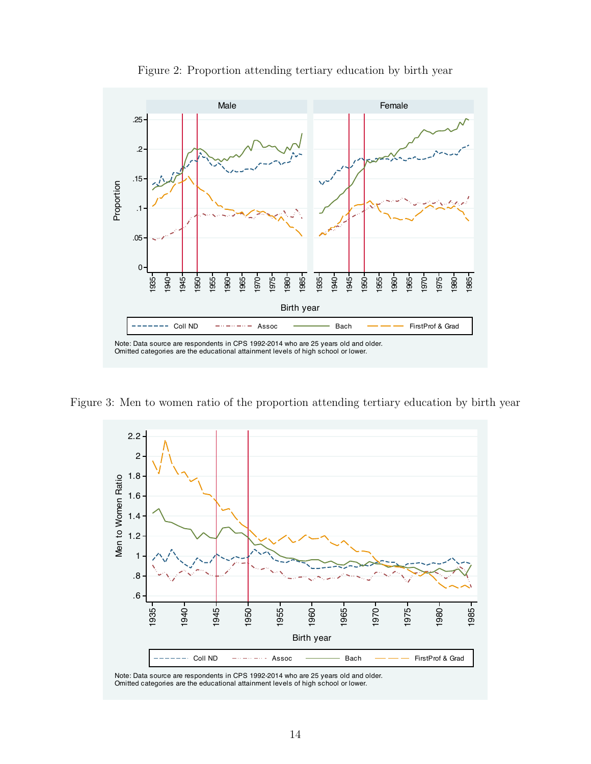<span id="page-15-0"></span>

Figure 2: Proportion attending tertiary education by birth year

<span id="page-15-1"></span>Figure 3: Men to women ratio of the proportion attending tertiary education by birth year



Note: Data source are respondents in CPS 1992-2014 who are 25 years old and older. Omitted categories are the educational attainment levels of high school or lower.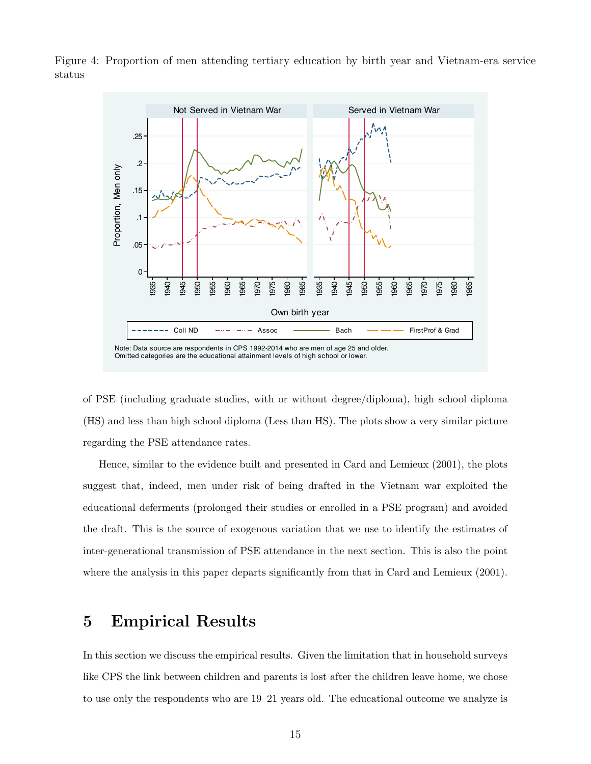

<span id="page-16-0"></span>Figure 4: Proportion of men attending tertiary education by birth year and Vietnam-era service status

of PSE (including graduate studies, with or without degree/diploma), high school diploma (HS) and less than high school diploma (Less than HS). The plots show a very similar picture regarding the PSE attendance rates.

Hence, similar to the evidence built and presented in [Card and Lemieux](#page-23-3) [\(2001\)](#page-23-3), the plots suggest that, indeed, men under risk of being drafted in the Vietnam war exploited the educational deferments (prolonged their studies or enrolled in a PSE program) and avoided the draft. This is the source of exogenous variation that we use to identify the estimates of inter-generational transmission of PSE attendance in the next section. This is also the point where the analysis in this paper departs significantly from that in [Card and Lemieux](#page-23-3) [\(2001\)](#page-23-3).

#### 5 Empirical Results

In this section we discuss the empirical results. Given the limitation that in household surveys like CPS the link between children and parents is lost after the children leave home, we chose to use only the respondents who are 19–21 years old. The educational outcome we analyze is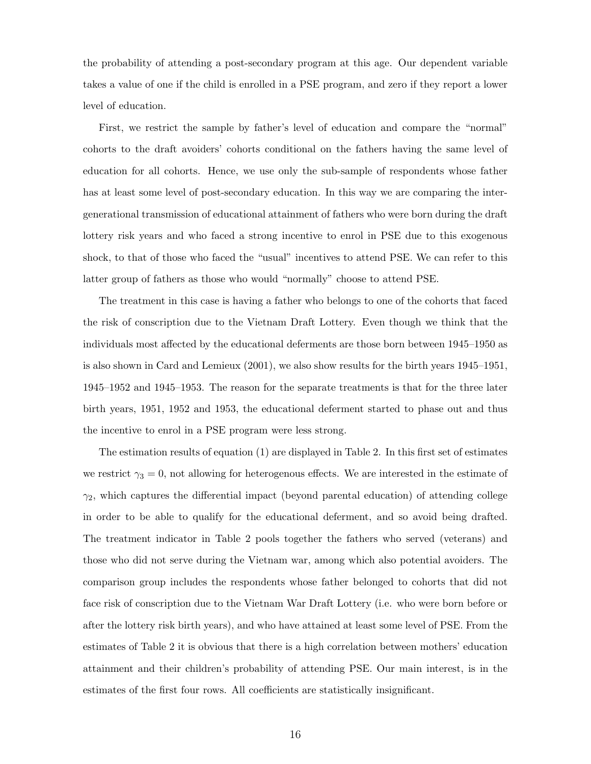the probability of attending a post-secondary program at this age. Our dependent variable takes a value of one if the child is enrolled in a PSE program, and zero if they report a lower level of education.

First, we restrict the sample by father's level of education and compare the "normal" cohorts to the draft avoiders' cohorts conditional on the fathers having the same level of education for all cohorts. Hence, we use only the sub-sample of respondents whose father has at least some level of post-secondary education. In this way we are comparing the intergenerational transmission of educational attainment of fathers who were born during the draft lottery risk years and who faced a strong incentive to enrol in PSE due to this exogenous shock, to that of those who faced the "usual" incentives to attend PSE. We can refer to this latter group of fathers as those who would "normally" choose to attend PSE.

The treatment in this case is having a father who belongs to one of the cohorts that faced the risk of conscription due to the Vietnam Draft Lottery. Even though we think that the individuals most affected by the educational deferments are those born between 1945–1950 as is also shown in [Card and Lemieux](#page-23-3) [\(2001\)](#page-23-3), we also show results for the birth years 1945–1951, 1945–1952 and 1945–1953. The reason for the separate treatments is that for the three later birth years, 1951, 1952 and 1953, the educational deferment started to phase out and thus the incentive to enrol in a PSE program were less strong.

The estimation results of equation [\(1\)](#page-9-0) are displayed in Table [2.](#page-19-0) In this first set of estimates we restrict  $\gamma_3 = 0$ , not allowing for heterogenous effects. We are interested in the estimate of  $\gamma_2$ , which captures the differential impact (beyond parental education) of attending college in order to be able to qualify for the educational deferment, and so avoid being drafted. The treatment indicator in Table [2](#page-19-0) pools together the fathers who served (veterans) and those who did not serve during the Vietnam war, among which also potential avoiders. The comparison group includes the respondents whose father belonged to cohorts that did not face risk of conscription due to the Vietnam War Draft Lottery (i.e. who were born before or after the lottery risk birth years), and who have attained at least some level of PSE. From the estimates of Table [2](#page-19-0) it is obvious that there is a high correlation between mothers' education attainment and their children's probability of attending PSE. Our main interest, is in the estimates of the first four rows. All coefficients are statistically insignificant.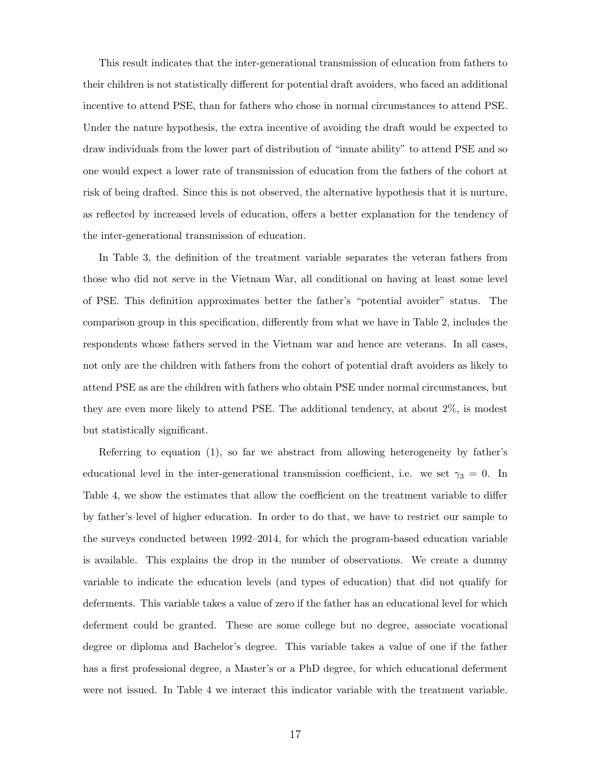This result indicates that the inter-generational transmission of education from fathers to their children is not statistically different for potential draft avoiders, who faced an additional incentive to attend PSE, than for fathers who chose in normal circumstances to attend PSE. Under the nature hypothesis, the extra incentive of avoiding the draft would be expected to draw individuals from the lower part of distribution of "innate ability" to attend PSE and so one would expect a lower rate of transmission of education from the fathers of the cohort at risk of being drafted. Since this is not observed, the alternative hypothesis that it is nurture, as reflected by increased levels of education, offers a better explanation for the tendency of the inter-generational transmission of education.

In Table [3,](#page-19-1) the definition of the treatment variable separates the veteran fathers from those who did not serve in the Vietnam War, all conditional on having at least some level of PSE. This definition approximates better the father's "potential avoider" status. The comparison group in this specification, differently from what we have in Table [2,](#page-19-0) includes the respondents whose fathers served in the Vietnam war and hence are veterans. In all cases, not only are the children with fathers from the cohort of potential draft avoiders as likely to attend PSE as are the children with fathers who obtain PSE under normal circumstances, but they are even more likely to attend PSE. The additional tendency, at about 2%, is modest but statistically significant.

Referring to equation [\(1\)](#page-9-0), so far we abstract from allowing heterogeneity by father's educational level in the inter-generational transmission coefficient, i.e. we set  $\gamma_3 = 0$ . In Table [4,](#page-20-0) we show the estimates that allow the coefficient on the treatment variable to differ by father's level of higher education. In order to do that, we have to restrict our sample to the surveys conducted between 1992–2014, for which the program-based education variable is available. This explains the drop in the number of observations. We create a dummy variable to indicate the education levels (and types of education) that did not qualify for deferments. This variable takes a value of zero if the father has an educational level for which deferment could be granted. These are some college but no degree, associate vocational degree or diploma and Bachelor's degree. This variable takes a value of one if the father has a first professional degree, a Master's or a PhD degree, for which educational deferment were not issued. In Table [4](#page-20-0) we interact this indicator variable with the treatment variable.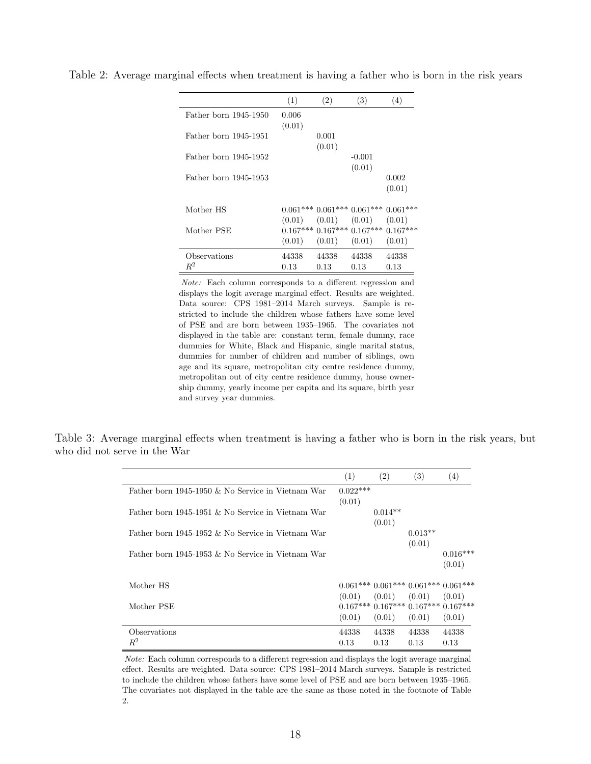| (1)    | (2)    | (3)      | (4)                                                                                                                                                             |
|--------|--------|----------|-----------------------------------------------------------------------------------------------------------------------------------------------------------------|
| 0.006  |        |          |                                                                                                                                                                 |
| (0.01) |        |          |                                                                                                                                                                 |
|        | 0.001  |          |                                                                                                                                                                 |
|        | (0.01) |          |                                                                                                                                                                 |
|        |        | $-0.001$ |                                                                                                                                                                 |
|        |        | (0.01)   |                                                                                                                                                                 |
|        |        |          | 0.002                                                                                                                                                           |
|        |        |          | (0.01)                                                                                                                                                          |
|        |        |          |                                                                                                                                                                 |
|        |        |          |                                                                                                                                                                 |
|        |        |          |                                                                                                                                                                 |
|        |        |          |                                                                                                                                                                 |
|        |        |          |                                                                                                                                                                 |
| 44338  | 44338  | 44338    | 44338                                                                                                                                                           |
| 0.13   | 0.13   | 0.13     | 0.13                                                                                                                                                            |
|        |        |          | $0.061***0.061***0.061***0.061***$<br>$(0.01)$ $(0.01)$ $(0.01)$ $(0.01)$<br>$0.167***$ $0.167***$ $0.167***$ $0.167***$<br>$(0.01)$ $(0.01)$ $(0.01)$ $(0.01)$ |

<span id="page-19-0"></span>Table 2: Average marginal effects when treatment is having a father who is born in the risk years

Note: Each column corresponds to a different regression and displays the logit average marginal effect. Results are weighted. Data source: CPS 1981–2014 March surveys. Sample is restricted to include the children whose fathers have some level of PSE and are born between 1935–1965. The covariates not displayed in the table are: constant term, female dummy, race dummies for White, Black and Hispanic, single marital status, dummies for number of children and number of siblings, own age and its square, metropolitan city centre residence dummy, metropolitan out of city centre residence dummy, house ownership dummy, yearly income per capita and its square, birth year and survey year dummies.

<span id="page-19-1"></span>Table 3: Average marginal effects when treatment is having a father who is born in the risk years, but who did not serve in the War

|                                                      | (1)        | (2)       | (3)                                         | (4)        |
|------------------------------------------------------|------------|-----------|---------------------------------------------|------------|
| Father born 1945-1950 $\&$ No Service in Vietnam War | $0.022***$ |           |                                             |            |
|                                                      | (0.01)     |           |                                             |            |
| Father born 1945-1951 & No Service in Vietnam War    |            | $0.014**$ |                                             |            |
|                                                      |            | (0.01)    |                                             |            |
| Father born 1945-1952 $\&$ No Service in Vietnam War |            |           | $0.013**$                                   |            |
|                                                      |            |           | (0.01)                                      |            |
| Father born 1945-1953 $\&$ No Service in Vietnam War |            |           |                                             | $0.016***$ |
|                                                      |            |           |                                             | (0.01)     |
|                                                      |            |           |                                             |            |
| Mother HS                                            |            |           | $0.061***$ $0.061***$ $0.061***$ $0.061***$ |            |
|                                                      |            |           | $(0.01)$ $(0.01)$ $(0.01)$ $(0.01)$         |            |
| Mother PSE                                           |            |           | $0.167***0.167***0.167***0.167***$          |            |
|                                                      | (0.01)     | (0.01)    | (0.01)                                      | (0.01)     |
| Observations                                         | 44338      | 44338     | 44338                                       | 44338      |
| $R^2$                                                | 0.13       | 0.13      | 0.13                                        | 0.13       |

Note: Each column corresponds to a different regression and displays the logit average marginal effect. Results are weighted. Data source: CPS 1981–2014 March surveys. Sample is restricted to include the children whose fathers have some level of PSE and are born between 1935–1965. The covariates not displayed in the table are the same as those noted in the footnote of Table [2.](#page-19-0)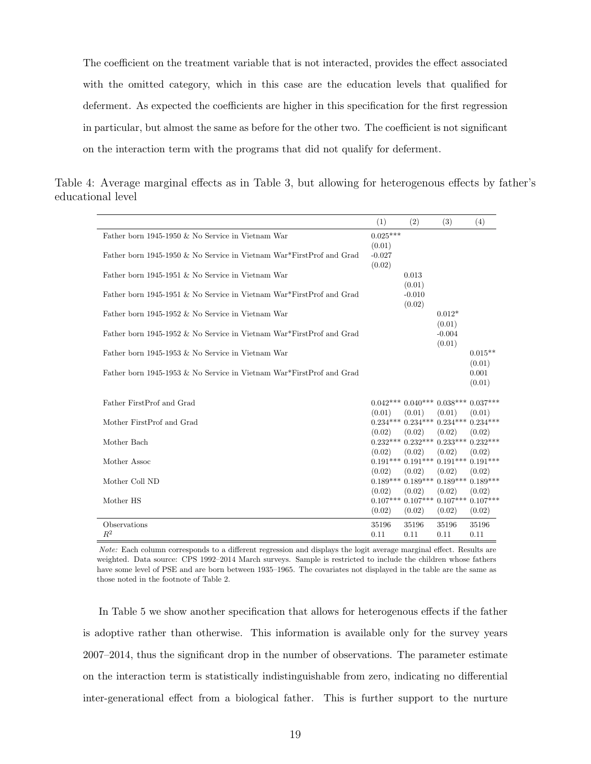The coefficient on the treatment variable that is not interacted, provides the effect associated with the omitted category, which in this case are the education levels that qualified for deferment. As expected the coefficients are higher in this specification for the first regression in particular, but almost the same as before for the other two. The coefficient is not significant on the interaction term with the programs that did not qualify for deferment.

<span id="page-20-0"></span>Table 4: Average marginal effects as in Table [3,](#page-19-1) but allowing for heterogenous effects by father's educational level

|                                                                      | (1)                | (2)                                                   | (3)                | (4)             |
|----------------------------------------------------------------------|--------------------|-------------------------------------------------------|--------------------|-----------------|
| Father born 1945-1950 & No Service in Vietnam War                    | $0.025***$         |                                                       |                    |                 |
| Father born 1945-1950 & No Service in Vietnam War*FirstProf and Grad | (0.01)<br>$-0.027$ |                                                       |                    |                 |
|                                                                      | (0.02)             |                                                       |                    |                 |
| Father born 1945-1951 & No Service in Vietnam War                    |                    | 0.013                                                 |                    |                 |
| Father born 1945-1951 & No Service in Vietnam War*FirstProf and Grad |                    | (0.01)<br>$-0.010$                                    |                    |                 |
|                                                                      |                    | (0.02)                                                |                    |                 |
| Father born 1945-1952 & No Service in Vietnam War                    |                    |                                                       | $0.012*$           |                 |
| Father born 1945-1952 & No Service in Vietnam War*FirstProf and Grad |                    |                                                       | (0.01)<br>$-0.004$ |                 |
|                                                                      |                    |                                                       | (0.01)             |                 |
| Father born 1945-1953 & No Service in Vietnam War                    |                    |                                                       |                    | $0.015**$       |
| Father born 1945-1953 & No Service in Vietnam War*FirstProf and Grad |                    |                                                       |                    | (0.01)<br>0.001 |
|                                                                      |                    |                                                       |                    | (0.01)          |
|                                                                      |                    |                                                       |                    |                 |
| Father FirstProf and Grad                                            | (0.01)             | $0.042***0.040***0.038***0.037***$<br>(0.01)          | (0.01)             | (0.01)          |
| Mother FirstProf and Grad                                            |                    | $0.234***$ $0.234***$ $0.234***$ $0.234***$           |                    |                 |
|                                                                      | (0.02)             | (0.02)                                                | (0.02)             | (0.02)          |
| Mother Bach                                                          |                    | $0.232***0.232***0.233***0.232***$                    |                    |                 |
| Mother Assoc                                                         | (0.02)             | (0.02)<br>$0.191***$ $0.191***$ $0.191***$ $0.191***$ | (0.02)             | (0.02)          |
|                                                                      | (0.02)             | (0.02)                                                | (0.02)             | (0.02)          |
| Mother Coll ND                                                       | $0.189***$         | $0.189***$                                            | $0.189***$         | $0.189***$      |
| Mother HS                                                            | (0.02)             | (0.02)<br>$0.107***$ $0.107***$ $0.107***$ $0.107***$ | (0.02)             | (0.02)          |
|                                                                      | (0.02)             | (0.02)                                                | (0.02)             | (0.02)          |
| Observations                                                         | 35196              | 35196                                                 | 35196              | 35196           |
| $R^2$                                                                | 0.11               | 0.11                                                  | 0.11               | 0.11            |

Note: Each column corresponds to a different regression and displays the logit average marginal effect. Results are weighted. Data source: CPS 1992–2014 March surveys. Sample is restricted to include the children whose fathers have some level of PSE and are born between 1935–1965. The covariates not displayed in the table are the same as those noted in the footnote of Table [2.](#page-19-0)

In Table [5](#page-21-0) we show another specification that allows for heterogenous effects if the father is adoptive rather than otherwise. This information is available only for the survey years 2007–2014, thus the significant drop in the number of observations. The parameter estimate on the interaction term is statistically indistinguishable from zero, indicating no differential inter-generational effect from a biological father. This is further support to the nurture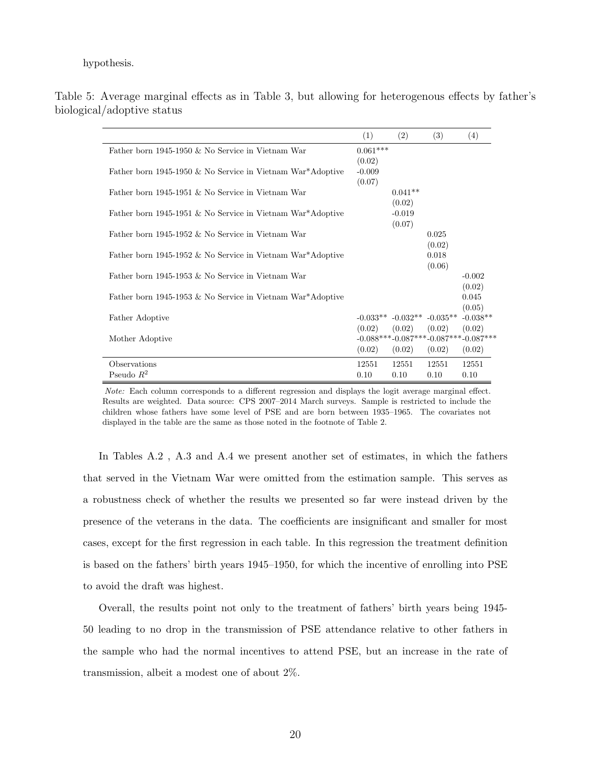#### hypothesis.

|                                                            | (1)        | (2)                | (3)                                             | (4)        |
|------------------------------------------------------------|------------|--------------------|-------------------------------------------------|------------|
| Father born 1945-1950 & No Service in Vietnam War          | $0.061***$ |                    |                                                 |            |
|                                                            | (0.02)     |                    |                                                 |            |
| Father born 1945-1950 & No Service in Vietnam War*Adoptive | $-0.009$   |                    |                                                 |            |
|                                                            | (0.07)     |                    |                                                 |            |
| Father born 1945-1951 & No Service in Vietnam War          |            | $0.041**$          |                                                 |            |
|                                                            |            | (0.02)             |                                                 |            |
| Father born 1945-1951 & No Service in Vietnam War*Adoptive |            | $-0.019$<br>(0.07) |                                                 |            |
| Father born 1945-1952 & No Service in Vietnam War          |            |                    | 0.025                                           |            |
|                                                            |            |                    | (0.02)                                          |            |
| Father born 1945-1952 & No Service in Vietnam War*Adoptive |            |                    | 0.018                                           |            |
|                                                            |            |                    | (0.06)                                          |            |
| Father born 1945-1953 $\&$ No Service in Vietnam War       |            |                    |                                                 | $-0.002$   |
|                                                            |            |                    |                                                 | (0.02)     |
| Father born 1945-1953 & No Service in Vietnam War*Adoptive |            |                    |                                                 | 0.045      |
|                                                            |            |                    |                                                 | (0.05)     |
| Father Adoptive                                            |            |                    | $-0.033**$ $-0.032**$ $-0.035**$                | $-0.038**$ |
|                                                            | (0.02)     | (0.02)             | (0.02)                                          | (0.02)     |
| Mother Adoptive                                            |            |                    | $-0.088***$ $-0.087***$ $-0.087***$ $-0.087***$ |            |
|                                                            | (0.02)     | (0.02)             | (0.02)                                          | (0.02)     |
| Observations                                               | 12551      | 12551              | 12551                                           | 12551      |
| Pseudo $R^2$                                               | 0.10       | 0.10               | 0.10                                            | 0.10       |

<span id="page-21-0"></span>Table 5: Average marginal effects as in Table [3,](#page-19-1) but allowing for heterogenous effects by father's biological/adoptive status

Note: Each column corresponds to a different regression and displays the logit average marginal effect. Results are weighted. Data source: CPS 2007–2014 March surveys. Sample is restricted to include the children whose fathers have some level of PSE and are born between 1935–1965. The covariates not displayed in the table are the same as those noted in the footnote of Table [2.](#page-19-0)

In Tables [A.2](#page-27-0) , [A.3](#page-28-0) and [A.4](#page-29-0) we present another set of estimates, in which the fathers that served in the Vietnam War were omitted from the estimation sample. This serves as a robustness check of whether the results we presented so far were instead driven by the presence of the veterans in the data. The coefficients are insignificant and smaller for most cases, except for the first regression in each table. In this regression the treatment definition is based on the fathers' birth years 1945–1950, for which the incentive of enrolling into PSE to avoid the draft was highest.

Overall, the results point not only to the treatment of fathers' birth years being 1945- 50 leading to no drop in the transmission of PSE attendance relative to other fathers in the sample who had the normal incentives to attend PSE, but an increase in the rate of transmission, albeit a modest one of about 2%.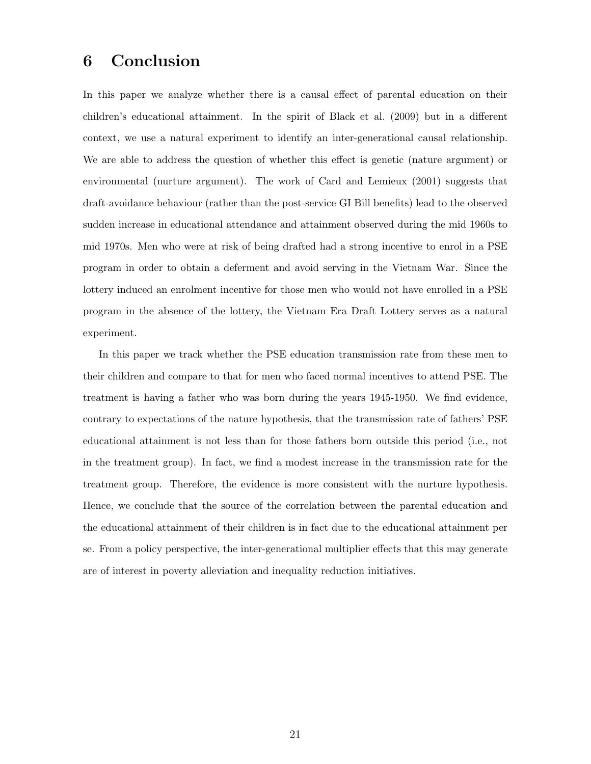#### 6 Conclusion

In this paper we analyze whether there is a causal effect of parental education on their children's educational attainment. In the spirit of [Black et al.](#page-23-2) [\(2009\)](#page-23-2) but in a different context, we use a natural experiment to identify an inter-generational causal relationship. We are able to address the question of whether this effect is genetic (nature argument) or environmental (nurture argument). The work of [Card and Lemieux](#page-23-3) [\(2001\)](#page-23-3) suggests that draft-avoidance behaviour (rather than the post-service GI Bill benefits) lead to the observed sudden increase in educational attendance and attainment observed during the mid 1960s to mid 1970s. Men who were at risk of being drafted had a strong incentive to enrol in a PSE program in order to obtain a deferment and avoid serving in the Vietnam War. Since the lottery induced an enrolment incentive for those men who would not have enrolled in a PSE program in the absence of the lottery, the Vietnam Era Draft Lottery serves as a natural experiment.

In this paper we track whether the PSE education transmission rate from these men to their children and compare to that for men who faced normal incentives to attend PSE. The treatment is having a father who was born during the years 1945-1950. We find evidence, contrary to expectations of the nature hypothesis, that the transmission rate of fathers' PSE educational attainment is not less than for those fathers born outside this period (i.e., not in the treatment group). In fact, we find a modest increase in the transmission rate for the treatment group. Therefore, the evidence is more consistent with the nurture hypothesis. Hence, we conclude that the source of the correlation between the parental education and the educational attainment of their children is in fact due to the educational attainment per se. From a policy perspective, the inter-generational multiplier effects that this may generate are of interest in poverty alleviation and inequality reduction initiatives.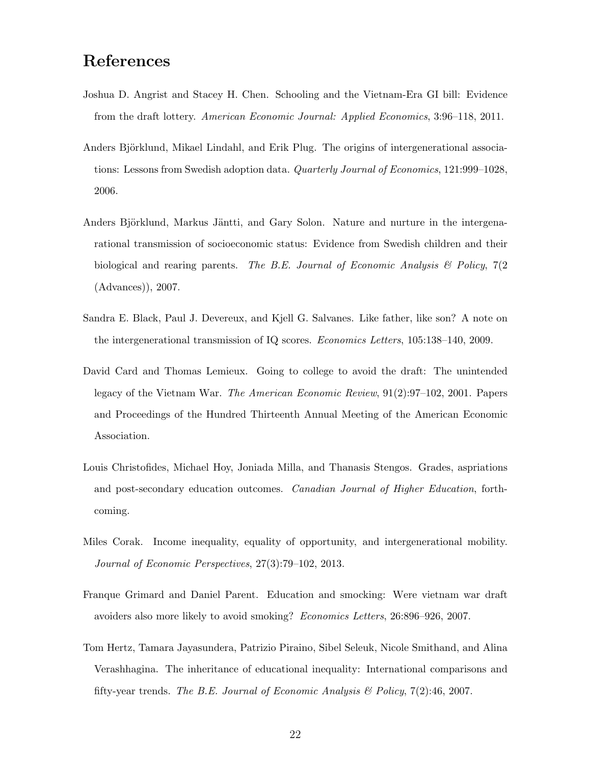### References

- <span id="page-23-8"></span>Joshua D. Angrist and Stacey H. Chen. Schooling and the Vietnam-Era GI bill: Evidence from the draft lottery. American Economic Journal: Applied Economics, 3:96–118, 2011.
- <span id="page-23-6"></span>Anders Björklund, Mikael Lindahl, and Erik Plug. The origins of intergenerational associations: Lessons from Swedish adoption data. *Quarterly Journal of Economics*, 121:999–1028, 2006.
- <span id="page-23-5"></span>Anders Björklund, Markus Jäntti, and Gary Solon. Nature and nurture in the intergenarational transmission of socioeconomic status: Evidence from Swedish children and their biological and rearing parents. The B.E. Journal of Economic Analysis  $\mathcal B$  Policy, 7(2) (Advances)), 2007.
- <span id="page-23-2"></span>Sandra E. Black, Paul J. Devereux, and Kjell G. Salvanes. Like father, like son? A note on the intergenerational transmission of IQ scores. Economics Letters, 105:138–140, 2009.
- <span id="page-23-3"></span>David Card and Thomas Lemieux. Going to college to avoid the draft: The unintended legacy of the Vietnam War. The American Economic Review, 91(2):97–102, 2001. Papers and Proceedings of the Hundred Thirteenth Annual Meeting of the American Economic Association.
- <span id="page-23-4"></span>Louis Christofides, Michael Hoy, Joniada Milla, and Thanasis Stengos. Grades, aspriations and post-secondary education outcomes. Canadian Journal of Higher Education, forthcoming.
- <span id="page-23-0"></span>Miles Corak. Income inequality, equality of opportunity, and intergenerational mobility. Journal of Economic Perspectives, 27(3):79–102, 2013.
- <span id="page-23-7"></span>Franque Grimard and Daniel Parent. Education and smocking: Were vietnam war draft avoiders also more likely to avoid smoking? Economics Letters, 26:896–926, 2007.
- <span id="page-23-1"></span>Tom Hertz, Tamara Jayasundera, Patrizio Piraino, Sibel Seleuk, Nicole Smithand, and Alina Verashhagina. The inheritance of educational inequality: International comparisons and fifty-year trends. The B.E. Journal of Economic Analysis  $\mathcal{B}$  Policy, 7(2):46, 2007.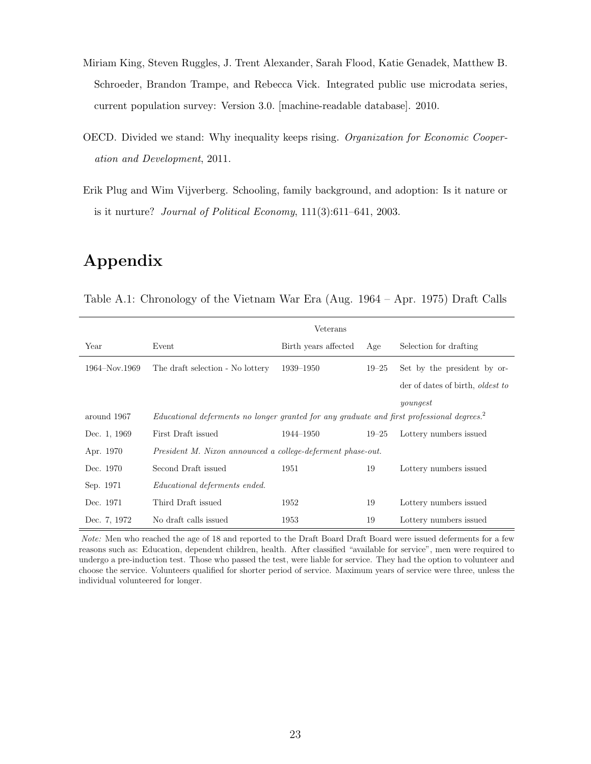- <span id="page-24-2"></span>Miriam King, Steven Ruggles, J. Trent Alexander, Sarah Flood, Katie Genadek, Matthew B. Schroeder, Brandon Trampe, and Rebecca Vick. Integrated public use microdata series, current population survey: Version 3.0. [machine-readable database]. 2010.
- <span id="page-24-0"></span>OECD. Divided we stand: Why inequality keeps rising. Organization for Economic Cooperation and Development, 2011.
- <span id="page-24-1"></span>Erik Plug and Wim Vijverberg. Schooling, family background, and adoption: Is it nature or is it nurture? Journal of Political Economy, 111(3):611–641, 2003.

# Appendix

<span id="page-24-3"></span>Table A.1: Chronology of the Vietnam War Era (Aug. 1964 – Apr. 1975) Draft Calls

|               |                                                                                                        | Veterans             |           |                                         |
|---------------|--------------------------------------------------------------------------------------------------------|----------------------|-----------|-----------------------------------------|
| Year          | Event                                                                                                  | Birth years affected | Age       | Selection for drafting                  |
| 1964–Nov.1969 | The draft selection - No lottery                                                                       | 1939–1950            | $19 - 25$ | Set by the president by or-             |
|               |                                                                                                        |                      |           | der of dates of birth, <i>oldest to</i> |
|               |                                                                                                        |                      |           | youngest                                |
| around 1967   | Educational deferments no longer granted for any graduate and first professional degrees. <sup>2</sup> |                      |           |                                         |
| Dec. 1, 1969  | First Draft issued                                                                                     | 1944–1950            | $19 - 25$ | Lottery numbers issued                  |
| Apr. 1970     | President M. Nixon announced a college-deferment phase-out.                                            |                      |           |                                         |
| Dec. 1970     | Second Draft issued                                                                                    | 1951                 | 19        | Lottery numbers issued                  |
| Sep. 1971     | <i>Educational deferments ended.</i>                                                                   |                      |           |                                         |
| Dec. 1971     | Third Draft issued                                                                                     | 1952                 | 19        | Lottery numbers issued                  |
| Dec. 7, 1972  | No draft calls issued                                                                                  | 1953                 | 19        | Lottery numbers issued                  |

Note: Men who reached the age of 18 and reported to the Draft Board Draft Board were issued deferments for a few reasons such as: Education, dependent children, health. After classified "available for service", men were required to undergo a pre-induction test. Those who passed the test, were liable for service. They had the option to volunteer and choose the service. Volunteers qualified for shorter period of service. Maximum years of service were three, unless the individual volunteered for longer.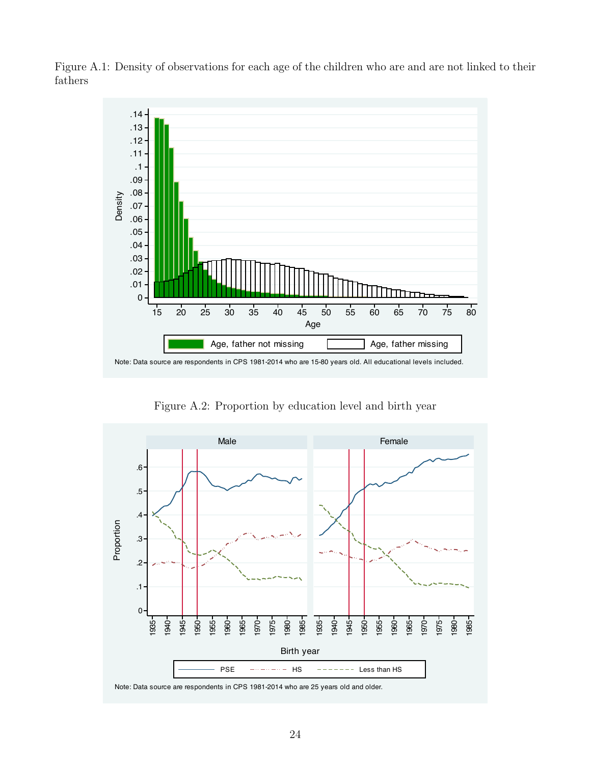

<span id="page-25-0"></span>Figure A.1: Density of observations for each age of the children who are and are not linked to their fathers

Figure A.2: Proportion by education level and birth year

<span id="page-25-1"></span>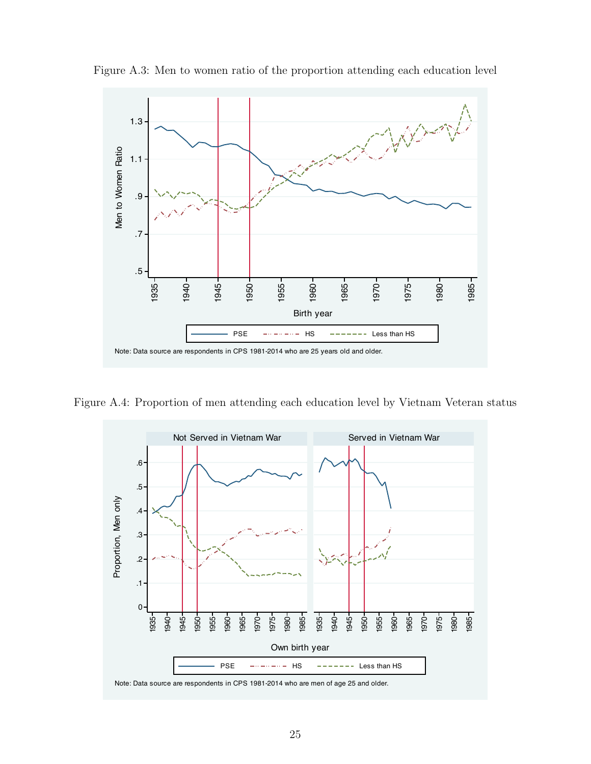

<span id="page-26-0"></span>Figure A.3: Men to women ratio of the proportion attending each education level

<span id="page-26-1"></span>Figure A.4: Proportion of men attending each education level by Vietnam Veteran status

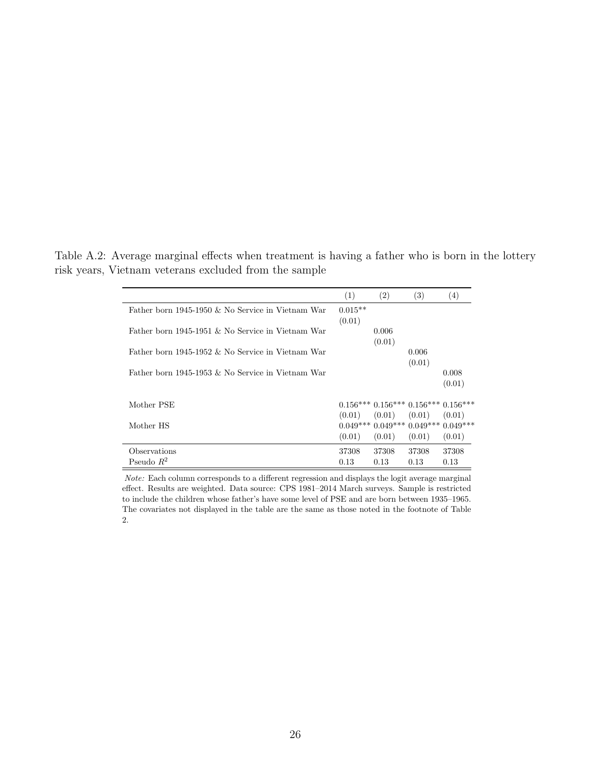|                                                      | (1)                 | (2)             | (3)                                          | $\left(4\right)$ |
|------------------------------------------------------|---------------------|-----------------|----------------------------------------------|------------------|
| Father born 1945-1950 $\&$ No Service in Vietnam War | $0.015**$<br>(0.01) |                 |                                              |                  |
| Father born 1945-1951 & No Service in Vietnam War    |                     | 0.006<br>(0.01) |                                              |                  |
| Father born 1945-1952 $\&$ No Service in Vietnam War |                     |                 | 0.006<br>(0.01)                              |                  |
| Father born 1945-1953 & No Service in Vietnam War    |                     |                 |                                              | 0.008<br>(0.01)  |
| Mother PSE                                           |                     |                 | $0.156***0.156***0.156***0.156***$           |                  |
| Mother HS                                            | (0.01)              | (0.01)          | (0.01)<br>$0.049***0.049***0.049***0.049***$ | (0.01)           |
|                                                      | (0.01)              | (0.01)          | (0.01)                                       | (0.01)           |
| Observations                                         | 37308               | 37308           | 37308                                        | 37308            |
| Pseudo $R^2$                                         | 0.13                | 0.13            | 0.13                                         | 0.13             |

<span id="page-27-0"></span>Table A.2: Average marginal effects when treatment is having a father who is born in the lottery risk years, Vietnam veterans excluded from the sample

Note: Each column corresponds to a different regression and displays the logit average marginal effect. Results are weighted. Data source: CPS 1981–2014 March surveys. Sample is restricted to include the children whose father's have some level of PSE and are born between 1935–1965. The covariates not displayed in the table are the same as those noted in the footnote of Table [2.](#page-19-0)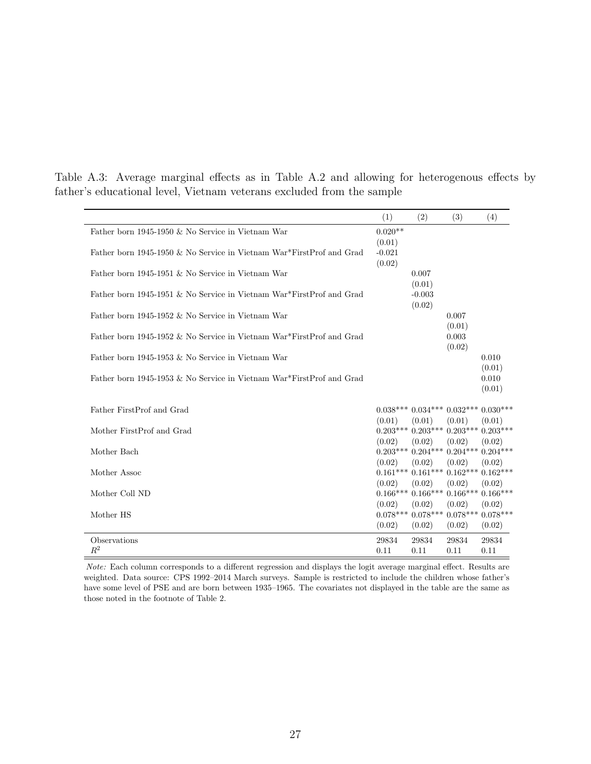|                                                                      | (1)                 | (2)                                                   | (3)             | (4)             |
|----------------------------------------------------------------------|---------------------|-------------------------------------------------------|-----------------|-----------------|
| Father born 1945-1950 & No Service in Vietnam War                    | $0.020**$<br>(0.01) |                                                       |                 |                 |
| Father born 1945-1950 & No Service in Vietnam War*FirstProf and Grad | $-0.021$<br>(0.02)  |                                                       |                 |                 |
| Father born 1945-1951 & No Service in Vietnam War                    |                     | 0.007<br>(0.01)                                       |                 |                 |
| Father born 1945-1951 & No Service in Vietnam War*FirstProf and Grad |                     | $-0.003$<br>(0.02)                                    |                 |                 |
| Father born 1945-1952 & No Service in Vietnam War                    |                     |                                                       | 0.007<br>(0.01) |                 |
| Father born 1945-1952 & No Service in Vietnam War*FirstProf and Grad |                     |                                                       | 0.003<br>(0.02) |                 |
| Father born 1945-1953 & No Service in Vietnam War                    |                     |                                                       |                 | 0.010<br>(0.01) |
| Father born 1945-1953 & No Service in Vietnam War*FirstProf and Grad |                     |                                                       |                 | 0.010<br>(0.01) |
| Father FirstProf and Grad                                            | (0.01)              | $0.038***0.034***0.032***0.030***$<br>(0.01)          | (0.01)          | (0.01)          |
| Mother FirstProf and Grad                                            | (0.02)              | $0.203***0.203***0.203***0.203***$<br>(0.02)          | (0.02)          | (0.02)          |
| Mother Bach                                                          | (0.02)              | $0.203***0.204***0.204***0.204***$<br>(0.02)          | (0.02)          | (0.02)          |
| Mother Assoc                                                         | (0.02)              | $0.161***$ $0.161***$ $0.162***$ $0.162***$<br>(0.02) | (0.02)          | (0.02)          |
| Mother Coll ND                                                       | (0.02)              | $0.166***$ $0.166***$ $0.166***$ $0.166***$<br>(0.02) | (0.02)          | (0.02)          |
| Mother HS                                                            | (0.02)              | $0.078***$ $0.078***$ $0.078***$ $0.078***$<br>(0.02) | (0.02)          | (0.02)          |
| Observations<br>$R^2$                                                | 29834<br>0.11       | 29834<br>0.11                                         | 29834<br>0.11   | 29834<br>0.11   |
|                                                                      |                     |                                                       |                 |                 |

<span id="page-28-0"></span>Table A.3: Average marginal effects as in Table [A.2](#page-27-0) and allowing for heterogenous effects by father's educational level, Vietnam veterans excluded from the sample

Note: Each column corresponds to a different regression and displays the logit average marginal effect. Results are weighted. Data source: CPS 1992–2014 March surveys. Sample is restricted to include the children whose father's have some level of PSE and are born between 1935–1965. The covariates not displayed in the table are the same as those noted in the footnote of Table [2.](#page-19-0)